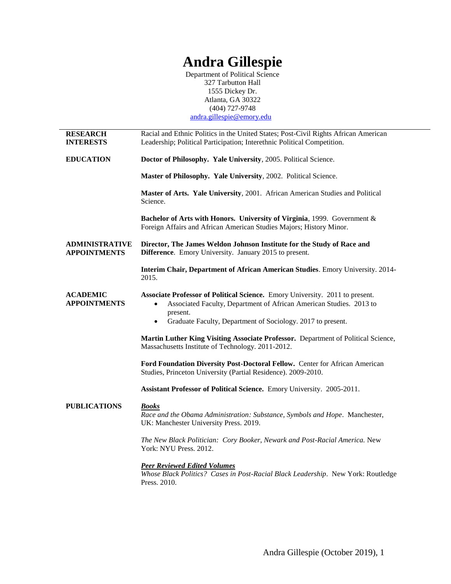# **Andra Gillespie**

Department of Political Science 327 Tarbutton Hall 1555 Dickey Dr. Atlanta, GA 30322 (404) 727-9748 [andra.gillespie@emory.edu](mailto:andra.gillespie@emory.edu)

| <b>RESEARCH</b><br><b>INTERESTS</b>          | Racial and Ethnic Politics in the United States; Post-Civil Rights African American<br>Leadership; Political Participation; Interethnic Political Competition.               |
|----------------------------------------------|------------------------------------------------------------------------------------------------------------------------------------------------------------------------------|
| <b>EDUCATION</b>                             | Doctor of Philosophy. Yale University, 2005. Political Science.                                                                                                              |
|                                              | Master of Philosophy. Yale University, 2002. Political Science.                                                                                                              |
|                                              | Master of Arts. Yale University, 2001. African American Studies and Political<br>Science.                                                                                    |
|                                              | Bachelor of Arts with Honors. University of Virginia, 1999. Government &<br>Foreign Affairs and African American Studies Majors; History Minor.                              |
| <b>ADMINISTRATIVE</b><br><b>APPOINTMENTS</b> | Director, The James Weldon Johnson Institute for the Study of Race and<br>Difference. Emory University. January 2015 to present.                                             |
|                                              | Interim Chair, Department of African American Studies. Emory University. 2014-<br>2015.                                                                                      |
| <b>ACADEMIC</b><br><b>APPOINTMENTS</b>       | Associate Professor of Political Science. Emory University. 2011 to present.<br>Associated Faculty, Department of African American Studies. 2013 to<br>$\bullet$<br>present. |
|                                              | Graduate Faculty, Department of Sociology. 2017 to present.<br>$\bullet$                                                                                                     |
|                                              | Martin Luther King Visiting Associate Professor. Department of Political Science,<br>Massachusetts Institute of Technology. 2011-2012.                                       |
|                                              | Ford Foundation Diversity Post-Doctoral Fellow. Center for African American<br>Studies, Princeton University (Partial Residence). 2009-2010.                                 |
|                                              | Assistant Professor of Political Science. Emory University. 2005-2011.                                                                                                       |
| <b>PUBLICATIONS</b>                          | <b>Books</b><br>Race and the Obama Administration: Substance, Symbols and Hope. Manchester,<br>UK: Manchester University Press. 2019.                                        |
|                                              | The New Black Politician: Cory Booker, Newark and Post-Racial America. New<br>York: NYU Press. 2012.                                                                         |
|                                              | <b>Peer Reviewed Edited Volumes</b><br>Whose Black Politics? Cases in Post-Racial Black Leadership. New York: Routledge<br>Press. 2010.                                      |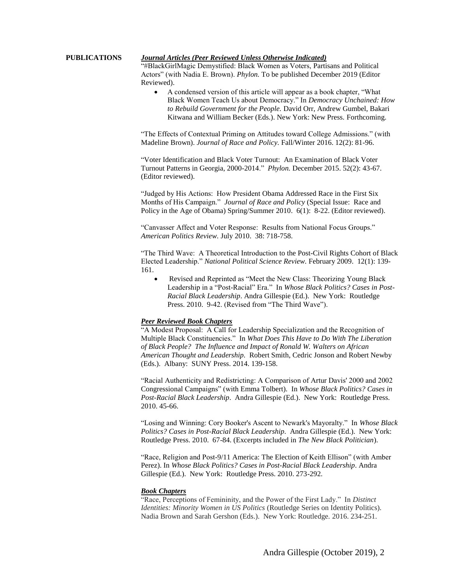# **PUBLICATIONS** *Journal Articles (Peer Reviewed Unless Otherwise Indicated)*

"#BlackGirlMagic Demystified: Black Women as Voters, Partisans and Political Actors" (with Nadia E. Brown). *Phylon.* To be published December 2019 (Editor Reviewed).

 A condensed version of this article will appear as a book chapter, "What Black Women Teach Us about Democracy." In *Democracy Unchained: How to Rebuild Government for the People.* David Orr, Andrew Gumbel, Bakari Kitwana and William Becker (Eds.). New York: New Press. Forthcoming.

"The Effects of Contextual Priming on Attitudes toward College Admissions." (with Madeline Brown). *Journal of Race and Policy.* Fall/Winter 2016. 12(2): 81-96.

"Voter Identification and Black Voter Turnout: An Examination of Black Voter Turnout Patterns in Georgia, 2000-2014." *Phylon.* December 2015. 52(2): 43-67. (Editor reviewed).

"Judged by His Actions: How President Obama Addressed Race in the First Six Months of His Campaign." *Journal of Race and Policy* (Special Issue: Race and Policy in the Age of Obama) Spring/Summer 2010. 6(1): 8-22. (Editor reviewed).

"Canvasser Affect and Voter Response: Results from National Focus Groups." *American Politics Review.* July 2010. 38: 718-758.

"The Third Wave: A Theoretical Introduction to the Post-Civil Rights Cohort of Black Elected Leadership." *National Political Science Review.* February 2009. 12(1): 139- 161.

 Revised and Reprinted as "Meet the New Class: Theorizing Young Black Leadership in a "Post-Racial" Era." In *Whose Black Politics? Cases in Post-Racial Black Leadership*. Andra Gillespie (Ed.). New York: Routledge Press. 2010. 9-42. (Revised from "The Third Wave").

### *Peer Reviewed Book Chapters*

"A Modest Proposal: A Call for Leadership Specialization and the Recognition of Multiple Black Constituencies." In *What Does This Have to Do With The Liberation of Black People? The Influence and Impact of Ronald W. Walters on African American Thought and Leadership.* Robert Smith, Cedric Jonson and Robert Newby (Eds.). Albany: SUNY Press. 2014. 139-158.

"Racial Authenticity and Redistricting: A Comparison of Artur Davis' 2000 and 2002 Congressional Campaigns" (with Emma Tolbert). In *Whose Black Politics? Cases in Post-Racial Black Leadership*. Andra Gillespie (Ed.). New York: Routledge Press. 2010. 45-66.

"Losing and Winning: Cory Booker's Ascent to Newark's Mayoralty." In *Whose Black Politics? Cases in Post-Racial Black Leadership*. Andra Gillespie (Ed.). New York: Routledge Press. 2010. 67-84. (Excerpts included in *The New Black Politician*).

"Race, Religion and Post-9/11 America: The Election of Keith Ellison" (with Amber Perez). In *Whose Black Politics? Cases in Post-Racial Black Leadership*. Andra Gillespie (Ed.). New York: Routledge Press. 2010. 273-292.

## *Book Chapters*

"Race, Perceptions of Femininity, and the Power of the First Lady." In *Distinct Identities: Minority Women in US Politics* (Routledge Series on Identity Politics). Nadia Brown and Sarah Gershon (Eds.). New York: Routledge. 2016. 234-251.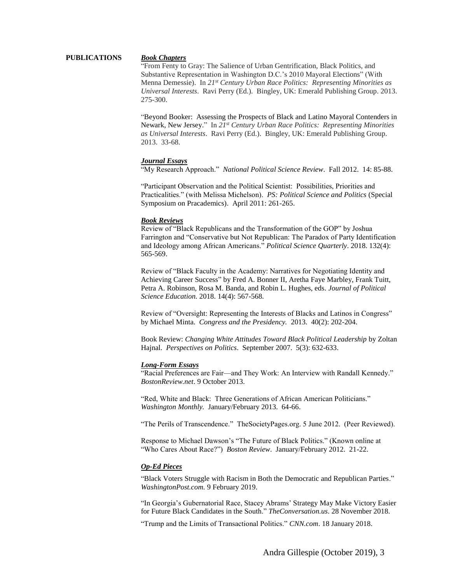# **PUBLICATIONS** *Book Chapters*

"From Fenty to Gray: The Salience of Urban Gentrification, Black Politics, and Substantive Representation in Washington D.C.'s 2010 Mayoral Elections" (With Menna Demessie). In *21st Century Urban Race Politics: Representing Minorities as Universal Interests*. Ravi Perry (Ed.). Bingley, UK: Emerald Publishing Group. 2013. 275-300.

"Beyond Booker: Assessing the Prospects of Black and Latino Mayoral Contenders in Newark, New Jersey." In *21st Century Urban Race Politics: Representing Minorities as Universal Interests*. Ravi Perry (Ed.). Bingley, UK: Emerald Publishing Group. 2013. 33-68.

#### *Journal Essays*

"My Research Approach." *National Political Science Review*. Fall 2012. 14: 85-88.

"Participant Observation and the Political Scientist: Possibilities, Priorities and Practicalities." (with Melissa Michelson). *PS: Political Science and Politics* (Special Symposium on Pracademics). April 2011: 261-265.

#### *Book Reviews*

Review of "Black Republicans and the Transformation of the GOP" by Joshua Farrington and "Conservative but Not Republican: The Paradox of Party Identification and Ideology among African Americans." *Political Science Quarterly*. 2018. 132(4): 565-569.

Review of "Black Faculty in the Academy: Narratives for Negotiating Identity and Achieving Career Success" by Fred A. Bonner II, Aretha Faye Marbley, Frank Tuitt, Petra A. Robinson, Rosa M. Banda, and Robin L. Hughes, eds. *Journal of Political Science Education.* 2018. 14(4): 567-568.

Review of "Oversight: Representing the Interests of Blacks and Latinos in Congress" by Michael Minta. *Congress and the Presidency.* 2013*.* 40(2): 202-204.

Book Review: *Changing White Attitudes Toward Black Political Leadership* by Zoltan Hajnal. *Perspectives on Politics*. September 2007. 5(3): 632-633.

#### *Long-Form Essays*

"Racial Preferences are Fair—and They Work: An Interview with Randall Kennedy." *BostonReview.net*. 9 October 2013.

"Red, White and Black: Three Generations of African American Politicians." *Washington Monthly.* January/February 2013. 64-66.

"The Perils of Transcendence." TheSocietyPages.org. 5 June 2012. (Peer Reviewed).

Response to Michael Dawson's "The Future of Black Politics." (Known online at "Who Cares About Race?") *Boston Review*. January/February 2012. 21-22.

### *Op-Ed Pieces*

"Black Voters Struggle with Racism in Both the Democratic and Republican Parties." *WashingtonPost.com.* 9 February 2019.

"In Georgia's Gubernatorial Race, Stacey Abrams' Strategy May Make Victory Easier for Future Black Candidates in the South." *TheConversation.us*. 28 November 2018.

"Trump and the Limits of Transactional Politics." *CNN.com*. 18 January 2018.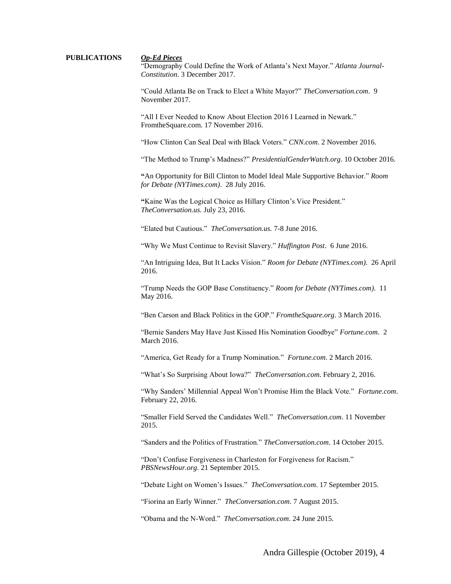# **PUBLICATIONS** *Op-Ed Pieces*

"Demography Could Define the Work of Atlanta's Next Mayor." *Atlanta Journal-Constitution*. 3 December 2017.

"Could Atlanta Be on Track to Elect a White Mayor?" *TheConversation.com*. 9 November 2017.

"All I Ever Needed to Know About Election 2016 I Learned in Newark." FromtheSquare.com. 17 November 2016.

"How Clinton Can Seal Deal with Black Voters." *CNN.com*. 2 November 2016.

"The Method to Trump's Madness?" *PresidentialGenderWatch.org*. 10 October 2016.

**"**An Opportunity for Bill Clinton to Model Ideal Male Supportive Behavior." *Room for Debate (NYTimes.com)*. 28 July 2016.

**"**Kaine Was the Logical Choice as Hillary Clinton's Vice President." *TheConversation.us.* July 23, 2016.

"Elated but Cautious." *TheConversation.us.* 7-8 June 2016.

"Why We Must Continue to Revisit Slavery." *Huffington Post*. 6 June 2016.

"An Intriguing Idea, But It Lacks Vision." *Room for Debate (NYTimes.com)*. 26 April 2016.

"Trump Needs the GOP Base Constituency." *Room for Debate (NYTimes.com)*. 11 May 2016.

"Ben Carson and Black Politics in the GOP." *FromtheSquare.org*. 3 March 2016.

"Bernie Sanders May Have Just Kissed His Nomination Goodbye" *Fortune.com*. 2 March 2016.

"America, Get Ready for a Trump Nomination." *Fortune.com*. 2 March 2016.

"What's So Surprising About Iowa?" *TheConversation.com*. February 2, 2016.

"Why Sanders' Millennial Appeal Won't Promise Him the Black Vote." *Fortune.com*. February 22, 2016.

"Smaller Field Served the Candidates Well." *TheConversation.com*. 11 November 2015.

"Sanders and the Politics of Frustration." *TheConversation.com*. 14 October 2015.

"Don't Confuse Forgiveness in Charleston for Forgiveness for Racism." *PBSNewsHour.org*. 21 September 2015.

"Debate Light on Women's Issues." *TheConversation.com*. 17 September 2015.

"Fiorina an Early Winner." *TheConversation.com*. 7 August 2015.

"Obama and the N-Word." *TheConversation.com*. 24 June 2015.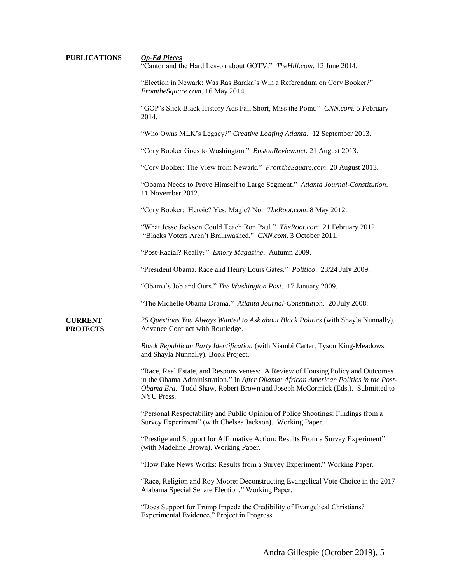| <b>PUBLICATIONS</b>               | <b>Op-Ed Pieces</b><br>"Cantor and the Hard Lesson about GOTV." The Hill.com. 12 June 2014.                                                                                                                                                                           |
|-----------------------------------|-----------------------------------------------------------------------------------------------------------------------------------------------------------------------------------------------------------------------------------------------------------------------|
|                                   | "Election in Newark: Was Ras Baraka's Win a Referendum on Cory Booker?"<br>FromtheSquare.com. 16 May 2014.                                                                                                                                                            |
|                                   | "GOP's Slick Black History Ads Fall Short, Miss the Point." CNN.com. 5 February<br>2014.                                                                                                                                                                              |
|                                   | "Who Owns MLK's Legacy?" Creative Loafing Atlanta. 12 September 2013.                                                                                                                                                                                                 |
|                                   | "Cory Booker Goes to Washington." BostonReview.net. 21 August 2013.                                                                                                                                                                                                   |
|                                   | "Cory Booker: The View from Newark." Fromthe Square.com. 20 August 2013.                                                                                                                                                                                              |
|                                   | "Obama Needs to Prove Himself to Large Segment." Atlanta Journal-Constitution.<br>11 November 2012.                                                                                                                                                                   |
|                                   | "Cory Booker: Heroic? Yes. Magic? No. TheRoot.com. 8 May 2012.                                                                                                                                                                                                        |
|                                   | "What Jesse Jackson Could Teach Ron Paul." The Root.com. 21 February 2012.<br>"Blacks Voters Aren't Brainwashed." CNN.com. 3 October 2011.                                                                                                                            |
|                                   | "Post-Racial? Really?" Emory Magazine. Autumn 2009.                                                                                                                                                                                                                   |
|                                   | "President Obama, Race and Henry Louis Gates." Politico. 23/24 July 2009.                                                                                                                                                                                             |
|                                   | "Obama's Job and Ours." The Washington Post. 17 January 2009.                                                                                                                                                                                                         |
|                                   | "The Michelle Obama Drama." Atlanta Journal-Constitution. 20 July 2008.                                                                                                                                                                                               |
| <b>CURRENT</b><br><b>PROJECTS</b> | 25 Questions You Always Wanted to Ask about Black Politics (with Shayla Nunnally).<br>Advance Contract with Routledge.                                                                                                                                                |
|                                   | Black Republican Party Identification (with Niambi Carter, Tyson King-Meadows,<br>and Shayla Nunnally). Book Project.                                                                                                                                                 |
|                                   | "Race, Real Estate, and Responsiveness: A Review of Housing Policy and Outcomes<br>in the Obama Administration." In After Obama: African American Politics in the Post-<br>Obama Era. Todd Shaw, Robert Brown and Joseph McCormick (Eds.). Submitted to<br>NYU Press. |
|                                   | "Personal Respectability and Public Opinion of Police Shootings: Findings from a<br>Survey Experiment" (with Chelsea Jackson). Working Paper.                                                                                                                         |
|                                   | "Prestige and Support for Affirmative Action: Results From a Survey Experiment"<br>(with Madeline Brown). Working Paper.                                                                                                                                              |
|                                   | "How Fake News Works: Results from a Survey Experiment." Working Paper.                                                                                                                                                                                               |
|                                   | "Race, Religion and Roy Moore: Deconstructing Evangelical Vote Choice in the 2017<br>Alabama Special Senate Election." Working Paper.                                                                                                                                 |
|                                   | "Does Support for Trump Impede the Credibility of Evangelical Christians?<br>Experimental Evidence." Project in Progress.                                                                                                                                             |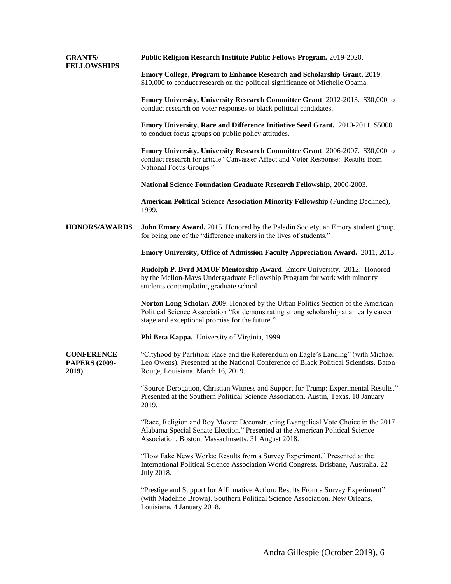| <b>GRANTS/</b><br><b>FELLOWSHIPS</b>               | Public Religion Research Institute Public Fellows Program. 2019-2020.                                                                                                                                                        |
|----------------------------------------------------|------------------------------------------------------------------------------------------------------------------------------------------------------------------------------------------------------------------------------|
|                                                    | Emory College, Program to Enhance Research and Scholarship Grant, 2019.<br>\$10,000 to conduct research on the political significance of Michelle Obama.                                                                     |
|                                                    | <b>Emory University, University Research Committee Grant</b> , 2012-2013. \$30,000 to<br>conduct research on voter responses to black political candidates.                                                                  |
|                                                    | Emory University, Race and Difference Initiative Seed Grant. 2010-2011. \$5000<br>to conduct focus groups on public policy attitudes.                                                                                        |
|                                                    | <b>Emory University, University Research Committee Grant</b> , 2006-2007. \$30,000 to<br>conduct research for article "Canvasser Affect and Voter Response: Results from<br>National Focus Groups."                          |
|                                                    | National Science Foundation Graduate Research Fellowship, 2000-2003.                                                                                                                                                         |
|                                                    | American Political Science Association Minority Fellowship (Funding Declined),<br>1999.                                                                                                                                      |
| <b>HONORS/AWARDS</b>                               | John Emory Award. 2015. Honored by the Paladin Society, an Emory student group,<br>for being one of the "difference makers in the lives of students."                                                                        |
|                                                    | <b>Emory University, Office of Admission Faculty Appreciation Award.</b> 2011, 2013.                                                                                                                                         |
|                                                    | Rudolph P. Byrd MMUF Mentorship Award, Emory University. 2012. Honored<br>by the Mellon-Mays Undergraduate Fellowship Program for work with minority<br>students contemplating graduate school.                              |
|                                                    | Norton Long Scholar. 2009. Honored by the Urban Politics Section of the American<br>Political Science Association "for demonstrating strong scholarship at an early career<br>stage and exceptional promise for the future." |
|                                                    | Phi Beta Kappa. University of Virginia, 1999.                                                                                                                                                                                |
| <b>CONFERENCE</b><br><b>PAPERS (2009-</b><br>2019) | "Cityhood by Partition: Race and the Referendum on Eagle's Landing" (with Michael<br>Leo Owens). Presented at the National Conference of Black Political Scientists. Baton<br>Rouge, Louisiana. March 16, 2019.              |
|                                                    | "Source Derogation, Christian Witness and Support for Trump: Experimental Results."<br>Presented at the Southern Political Science Association. Austin, Texas. 18 January<br>2019.                                           |
|                                                    | "Race, Religion and Roy Moore: Deconstructing Evangelical Vote Choice in the 2017<br>Alabama Special Senate Election." Presented at the American Political Science<br>Association. Boston, Massachusetts. 31 August 2018.    |
|                                                    | "How Fake News Works: Results from a Survey Experiment." Presented at the<br>International Political Science Association World Congress. Brisbane, Australia. 22<br>July 2018.                                               |
|                                                    | "Prestige and Support for Affirmative Action: Results From a Survey Experiment"<br>(with Madeline Brown). Southern Political Science Association. New Orleans,<br>Louisiana. 4 January 2018.                                 |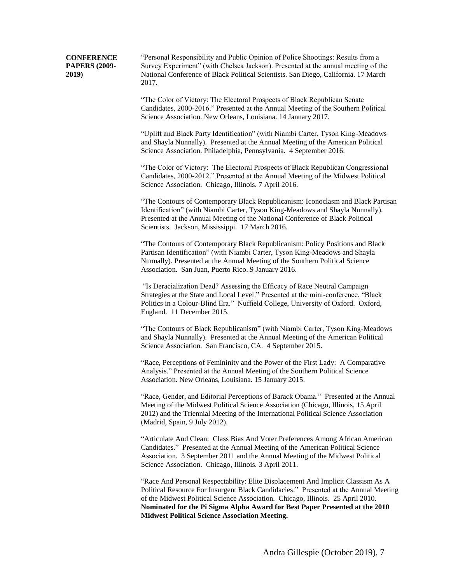**CONFERENCE PAPERS (2009- 2019)** 

"Personal Responsibility and Public Opinion of Police Shootings: Results from a Survey Experiment" (with Chelsea Jackson). Presented at the annual meeting of the National Conference of Black Political Scientists. San Diego, California. 17 March 2017.

"The Color of Victory: The Electoral Prospects of Black Republican Senate Candidates, 2000-2016." Presented at the Annual Meeting of the Southern Political Science Association. New Orleans, Louisiana. 14 January 2017.

"Uplift and Black Party Identification" (with Niambi Carter, Tyson King-Meadows and Shayla Nunnally). Presented at the Annual Meeting of the American Political Science Association. Philadelphia, Pennsylvania. 4 September 2016.

"The Color of Victory: The Electoral Prospects of Black Republican Congressional Candidates, 2000-2012." Presented at the Annual Meeting of the Midwest Political Science Association. Chicago, Illinois. 7 April 2016.

"The Contours of Contemporary Black Republicanism: Iconoclasm and Black Partisan Identification" (with Niambi Carter, Tyson King-Meadows and Shayla Nunnally). Presented at the Annual Meeting of the National Conference of Black Political Scientists. Jackson, Mississippi. 17 March 2016.

"The Contours of Contemporary Black Republicanism: Policy Positions and Black Partisan Identification" (with Niambi Carter, Tyson King-Meadows and Shayla Nunnally). Presented at the Annual Meeting of the Southern Political Science Association. San Juan, Puerto Rico. 9 January 2016.

"Is Deracialization Dead? Assessing the Efficacy of Race Neutral Campaign Strategies at the State and Local Level." Presented at the mini-conference, "Black Politics in a Colour-Blind Era." Nuffield College, University of Oxford. Oxford, England. 11 December 2015.

"The Contours of Black Republicanism" (with Niambi Carter, Tyson King-Meadows and Shayla Nunnally). Presented at the Annual Meeting of the American Political Science Association. San Francisco, CA. 4 September 2015.

"Race, Perceptions of Femininity and the Power of the First Lady: A Comparative Analysis." Presented at the Annual Meeting of the Southern Political Science Association. New Orleans, Louisiana. 15 January 2015.

"Race, Gender, and Editorial Perceptions of Barack Obama." Presented at the Annual Meeting of the Midwest Political Science Association (Chicago, Illinois, 15 April 2012) and the Triennial Meeting of the International Political Science Association (Madrid, Spain, 9 July 2012).

"Articulate And Clean: Class Bias And Voter Preferences Among African American Candidates." Presented at the Annual Meeting of the American Political Science Association. 3 September 2011 and the Annual Meeting of the Midwest Political Science Association. Chicago, Illinois. 3 April 2011.

"Race And Personal Respectability: Elite Displacement And Implicit Classism As A Political Resource For Insurgent Black Candidacies." Presented at the Annual Meeting of the Midwest Political Science Association. Chicago, Illinois. 25 April 2010. **Nominated for the Pi Sigma Alpha Award for Best Paper Presented at the 2010 Midwest Political Science Association Meeting.**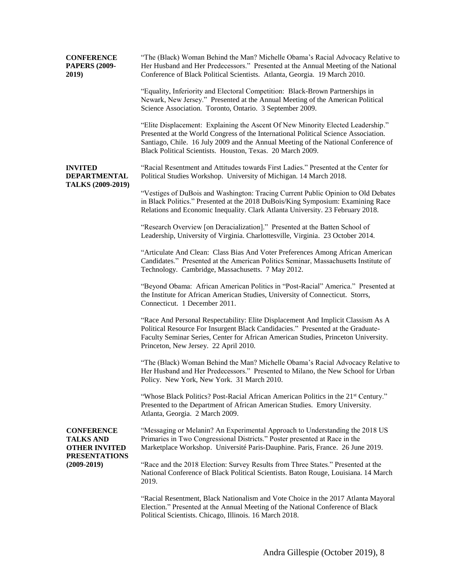| <b>CONFERENCE</b><br><b>PAPERS (2009-</b><br>2019)                                                       | "The (Black) Woman Behind the Man? Michelle Obama's Racial Advocacy Relative to<br>Her Husband and Her Predecessors." Presented at the Annual Meeting of the National<br>Conference of Black Political Scientists. Atlanta, Georgia. 19 March 2010.                                                                        |
|----------------------------------------------------------------------------------------------------------|----------------------------------------------------------------------------------------------------------------------------------------------------------------------------------------------------------------------------------------------------------------------------------------------------------------------------|
|                                                                                                          | "Equality, Inferiority and Electoral Competition: Black-Brown Partnerships in<br>Newark, New Jersey." Presented at the Annual Meeting of the American Political<br>Science Association. Toronto, Ontario. 3 September 2009.                                                                                                |
|                                                                                                          | "Elite Displacement: Explaining the Ascent Of New Minority Elected Leadership."<br>Presented at the World Congress of the International Political Science Association.<br>Santiago, Chile. 16 July 2009 and the Annual Meeting of the National Conference of<br>Black Political Scientists. Houston, Texas. 20 March 2009. |
| <b>INVITED</b><br><b>DEPARTMENTAL</b><br>TALKS (2009-2019)                                               | "Racial Resentment and Attitudes towards First Ladies." Presented at the Center for<br>Political Studies Workshop. University of Michigan. 14 March 2018.                                                                                                                                                                  |
|                                                                                                          | "Vestiges of DuBois and Washington: Tracing Current Public Opinion to Old Debates<br>in Black Politics." Presented at the 2018 DuBois/King Symposium: Examining Race<br>Relations and Economic Inequality. Clark Atlanta University. 23 February 2018.                                                                     |
|                                                                                                          | "Research Overview [on Deracialization]." Presented at the Batten School of<br>Leadership, University of Virginia. Charlottesville, Virginia. 23 October 2014.                                                                                                                                                             |
|                                                                                                          | "Articulate And Clean: Class Bias And Voter Preferences Among African American<br>Candidates." Presented at the American Politics Seminar, Massachusetts Institute of<br>Technology. Cambridge, Massachusetts. 7 May 2012.                                                                                                 |
|                                                                                                          | "Beyond Obama: African American Politics in "Post-Racial" America." Presented at<br>the Institute for African American Studies, University of Connecticut. Storrs,<br>Connecticut. 1 December 2011.                                                                                                                        |
|                                                                                                          | "Race And Personal Respectability: Elite Displacement And Implicit Classism As A<br>Political Resource For Insurgent Black Candidacies." Presented at the Graduate-<br>Faculty Seminar Series, Center for African American Studies, Princeton University.<br>Princeton, New Jersey. 22 April 2010.                         |
|                                                                                                          | "The (Black) Woman Behind the Man? Michelle Obama's Racial Advocacy Relative to<br>Her Husband and Her Predecessors." Presented to Milano, the New School for Urban<br>Policy. New York, New York. 31 March 2010.                                                                                                          |
|                                                                                                          | "Whose Black Politics? Post-Racial African American Politics in the 21 <sup>st</sup> Century."<br>Presented to the Department of African American Studies. Emory University.<br>Atlanta, Georgia. 2 March 2009.                                                                                                            |
| <b>CONFERENCE</b><br><b>TALKS AND</b><br><b>OTHER INVITED</b><br><b>PRESENTATIONS</b><br>$(2009 - 2019)$ | "Messaging or Melanin? An Experimental Approach to Understanding the 2018 US<br>Primaries in Two Congressional Districts." Poster presented at Race in the<br>Marketplace Workshop. Université Paris-Dauphine. Paris, France. 26 June 2019.                                                                                |
|                                                                                                          | "Race and the 2018 Election: Survey Results from Three States." Presented at the<br>National Conference of Black Political Scientists. Baton Rouge, Louisiana. 14 March<br>2019.                                                                                                                                           |
|                                                                                                          | "Racial Resentment, Black Nationalism and Vote Choice in the 2017 Atlanta Mayoral<br>Election." Presented at the Annual Meeting of the National Conference of Black<br>Political Scientists. Chicago, Illinois. 16 March 2018.                                                                                             |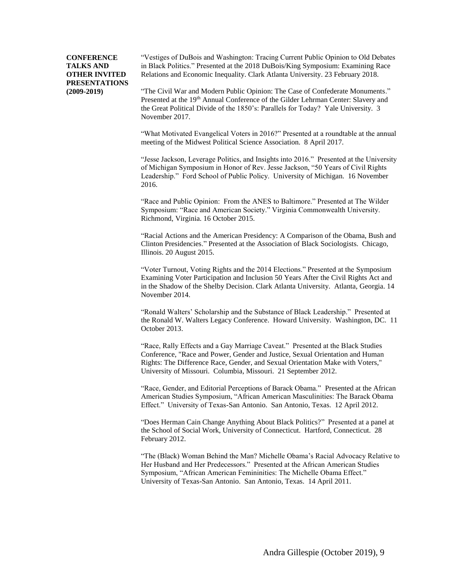"Vestiges of DuBois and Washington: Tracing Current Public Opinion to Old Debates in Black Politics." Presented at the 2018 DuBois/King Symposium: Examining Race Relations and Economic Inequality. Clark Atlanta University. 23 February 2018.

"The Civil War and Modern Public Opinion: The Case of Confederate Monuments." Presented at the 19<sup>th</sup> Annual Conference of the Gilder Lehrman Center: Slavery and the Great Political Divide of the 1850's: Parallels for Today? Yale University. 3 November 2017.

"What Motivated Evangelical Voters in 2016?" Presented at a roundtable at the annual meeting of the Midwest Political Science Association. 8 April 2017.

"Jesse Jackson, Leverage Politics, and Insights into 2016." Presented at the University of Michigan Symposium in Honor of Rev. Jesse Jackson, "50 Years of Civil Rights Leadership." Ford School of Public Policy. University of Michigan. 16 November 2016.

"Race and Public Opinion: From the ANES to Baltimore." Presented at The Wilder Symposium: "Race and American Society." Virginia Commonwealth University. Richmond, Virginia. 16 October 2015.

"Racial Actions and the American Presidency: A Comparison of the Obama, Bush and Clinton Presidencies." Presented at the Association of Black Sociologists. Chicago, Illinois. 20 August 2015.

"Voter Turnout, Voting Rights and the 2014 Elections." Presented at the Symposium Examining Voter Participation and Inclusion 50 Years After the Civil Rights Act and in the Shadow of the Shelby Decision. Clark Atlanta University. Atlanta, Georgia. 14 November 2014.

"Ronald Walters' Scholarship and the Substance of Black Leadership." Presented at the Ronald W. Walters Legacy Conference. Howard University. Washington, DC. 11 October 2013.

"Race, Rally Effects and a Gay Marriage Caveat." Presented at the Black Studies Conference, "Race and Power, Gender and Justice, Sexual Orientation and Human Rights: The Difference Race, Gender, and Sexual Orientation Make with Voters," University of Missouri. Columbia, Missouri. 21 September 2012.

"Race, Gender, and Editorial Perceptions of Barack Obama." Presented at the African American Studies Symposium, "African American Masculinities: The Barack Obama Effect." University of Texas-San Antonio. San Antonio, Texas. 12 April 2012.

"Does Herman Cain Change Anything About Black Politics?" Presented at a panel at the School of Social Work, University of Connecticut. Hartford, Connecticut. 28 February 2012.

"The (Black) Woman Behind the Man? Michelle Obama's Racial Advocacy Relative to Her Husband and Her Predecessors." Presented at the African American Studies Symposium, "African American Femininities: The Michelle Obama Effect." University of Texas-San Antonio. San Antonio, Texas. 14 April 2011.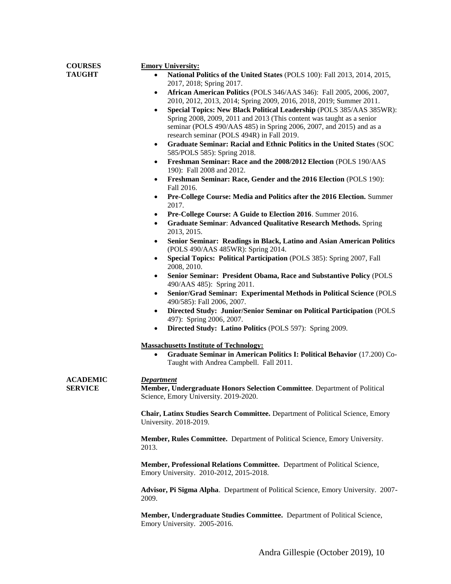| <b>COURSES</b>  | <b>Emory University:</b>                                                                                                                                 |
|-----------------|----------------------------------------------------------------------------------------------------------------------------------------------------------|
| <b>TAUGHT</b>   | National Politics of the United States (POLS 100): Fall 2013, 2014, 2015,<br>$\bullet$                                                                   |
|                 | 2017, 2018; Spring 2017.                                                                                                                                 |
|                 | African American Politics (POLS 346/AAS 346): Fall 2005, 2006, 2007,<br>$\bullet$<br>2010, 2012, 2013, 2014; Spring 2009, 2016, 2018, 2019; Summer 2011. |
|                 | Special Topics: New Black Political Leadership (POLS 385/AAS 385WR):<br>$\bullet$                                                                        |
|                 | Spring 2008, 2009, 2011 and 2013 (This content was taught as a senior                                                                                    |
|                 | seminar (POLS 490/AAS 485) in Spring 2006, 2007, and 2015) and as a                                                                                      |
|                 | research seminar (POLS 494R) in Fall 2019.<br>Graduate Seminar: Racial and Ethnic Politics in the United States (SOC<br>$\bullet$                        |
|                 | 585/POLS 585): Spring 2018.                                                                                                                              |
|                 | Freshman Seminar: Race and the 2008/2012 Election (POLS 190/AAS<br>$\bullet$<br>190): Fall 2008 and 2012.                                                |
|                 | Freshman Seminar: Race, Gender and the 2016 Election (POLS 190):<br>٠<br>Fall 2016.                                                                      |
|                 | Pre-College Course: Media and Politics after the 2016 Election. Summer<br>٠<br>2017.                                                                     |
|                 | Pre-College Course: A Guide to Election 2016. Summer 2016.<br>٠                                                                                          |
|                 | <b>Graduate Seminar: Advanced Qualitative Research Methods. Spring</b><br>$\bullet$<br>2013, 2015.                                                       |
|                 | Senior Seminar: Readings in Black, Latino and Asian American Politics<br>٠<br>(POLS 490/AAS 485WR): Spring 2014.                                         |
|                 | Special Topics: Political Participation (POLS 385): Spring 2007, Fall<br>٠<br>2008, 2010.                                                                |
|                 | Senior Seminar: President Obama, Race and Substantive Policy (POLS<br>٠<br>490/AAS 485): Spring 2011.                                                    |
|                 | Senior/Grad Seminar: Experimental Methods in Political Science (POLS<br>٠<br>490/585): Fall 2006, 2007.                                                  |
|                 | Directed Study: Junior/Senior Seminar on Political Participation (POLS<br>$\bullet$<br>497): Spring 2006, 2007.                                          |
|                 | Directed Study: Latino Politics (POLS 597): Spring 2009.<br>$\bullet$                                                                                    |
|                 | <b>Massachusetts Institute of Technology:</b>                                                                                                            |
|                 | Graduate Seminar in American Politics I: Political Behavior (17.200) Co-<br>$\bullet$<br>Taught with Andrea Campbell. Fall 2011.                         |
| <b>ACADEMIC</b> | <b>Department</b>                                                                                                                                        |
| <b>SERVICE</b>  | Member, Undergraduate Honors Selection Committee. Department of Political<br>Science, Emory University. 2019-2020.                                       |
|                 | Chair, Latinx Studies Search Committee. Department of Political Science, Emory<br>University. 2018-2019.                                                 |
|                 | Member, Rules Committee. Department of Political Science, Emory University.<br>2013.                                                                     |
|                 | Member, Professional Relations Committee. Department of Political Science,<br>Emory University. 2010-2012, 2015-2018.                                    |
|                 | Advisor, Pi Sigma Alpha. Department of Political Science, Emory University. 2007-<br>2009.                                                               |
|                 | Member, Undergraduate Studies Committee. Department of Political Science,<br>Emory University. 2005-2016.                                                |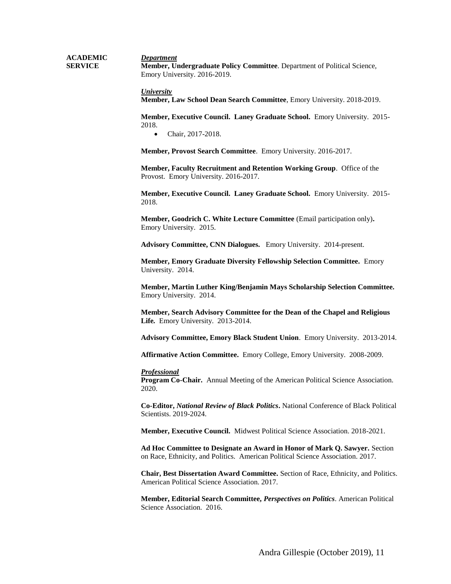**ACADEMIC SERVICE** *Department* **Member, Undergraduate Policy Committee**. Department of Political Science, Emory University. 2016-2019.

> *University* **Member, Law School Dean Search Committee**, Emory University. 2018-2019.

**Member, Executive Council. Laney Graduate School.** Emory University. 2015- 2018.

Chair, 2017-2018.

**Member, Provost Search Committee**. Emory University. 2016-2017.

**Member, Faculty Recruitment and Retention Working Group**. Office of the Provost. Emory University. 2016-2017.

**Member, Executive Council. Laney Graduate School.** Emory University. 2015- 2018.

**Member, Goodrich C. White Lecture Committee** (Email participation only)**.**  Emory University. 2015.

**Advisory Committee, CNN Dialogues.** Emory University. 2014-present.

**Member, Emory Graduate Diversity Fellowship Selection Committee.** Emory University. 2014.

**Member, Martin Luther King/Benjamin Mays Scholarship Selection Committee.**  Emory University. 2014.

**Member, Search Advisory Committee for the Dean of the Chapel and Religious Life***.* Emory University. 2013-2014.

**Advisory Committee, Emory Black Student Union**. Emory University. 2013-2014.

**Affirmative Action Committee.** Emory College, Emory University. 2008-2009.

#### *Professional*

**Program Co-Chair.** Annual Meeting of the American Political Science Association. 2020.

**Co-Editor,** *National Review of Black Politics***.** National Conference of Black Political Scientists. 2019-2024.

**Member, Executive Council.** Midwest Political Science Association. 2018-2021.

**Ad Hoc Committee to Designate an Award in Honor of Mark Q. Sawyer***.* Section on Race, Ethnicity, and Politics. American Political Science Association. 2017.

**Chair, Best Dissertation Award Committee.** Section of Race, Ethnicity, and Politics. American Political Science Association. 2017.

**Member, Editorial Search Committee,** *Perspectives on Politics*. American Political Science Association. 2016.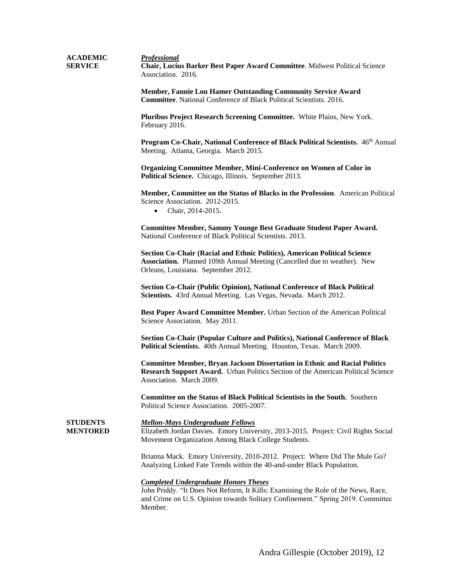| <b>ACADEMIC</b><br><b>SERVICE</b> | <b>Professional</b><br><b>Chair, Lucius Barker Best Paper Award Committee.</b> Midwest Political Science<br>Association. 2016. |
|-----------------------------------|--------------------------------------------------------------------------------------------------------------------------------|
|                                   |                                                                                                                                |

**Member, Fannie Lou Hamer Outstanding Community Service Award Committee**. National Conference of Black Political Scientists. 2016.

**Pluribus Project Research Screening Committee.** White Plains, New York. February 2016.

Program Co-Chair, National Conference of Black Political Scientists. 46<sup>th</sup> Annual Meeting. Atlanta, Georgia. March 2015.

**Organizing Committee Member, Mini-Conference on Women of Color in Political Science.** Chicago, Illinois. September 2013.

**Member, Committee on the Status of Blacks in the Profession**. American Political Science Association. 2012-2015.

• Chair, 2014-2015.

**Committee Member, Sammy Younge Best Graduate Student Paper Award.** National Conference of Black Political Scientists. 2013.

**Section Co-Chair (Racial and Ethnic Politics), American Political Science Association.** Planned 109th Annual Meeting (Cancelled due to weather). New Orleans, Louisiana. September 2012.

**Section Co-Chair (Public Opinion), National Conference of Black Political Scientists.** 43rd Annual Meeting. Las Vegas, Nevada. March 2012.

**Best Paper Award Committee Member.** Urban Section of the American Political Science Association. May 2011.

**Section Co-Chair (Popular Culture and Politics), National Conference of Black Political Scientists.** 40th Annual Meeting. Houston, Texas. March 2009.

**Committee Member, Bryan Jackson Dissertation in Ethnic and Racial Politics Research Support Award.** Urban Politics Section of the American Political Science Association. March 2009.

**Committee on the Status of Black Political Scientists in the South.** Southern Political Science Association. 2005-2007.

**STUDENTS MENTORED**

#### *Mellon-Mays Undergraduate Fellows*

Elizabeth Jordan Davies. Emory University, 2013-2015. Project: Civil Rights Social Movement Organization Among Black College Students.

Brianna Mack. Emory University, 2010-2012. Project: Where Did The Mule Go? Analyzing Linked Fate Trends within the 40-and-under Black Population.

#### *Completed Undergraduate Honors Theses*

John Priddy. "It Does Not Reform, It Kills: Examining the Role of the News, Race, and Crime on U.S. Opinion towards Solitary Confinement." Spring 2019. Committee Member.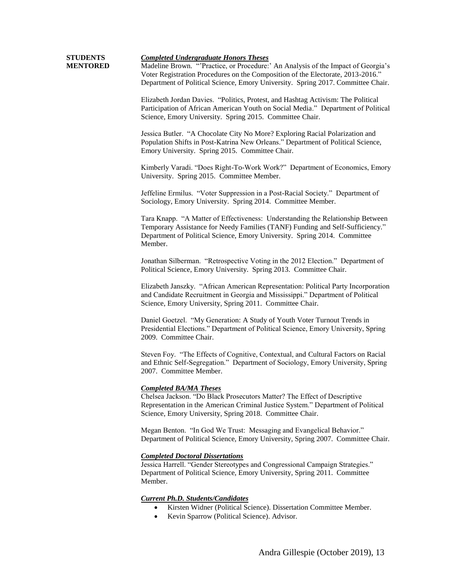| STUDENTS        |
|-----------------|
| <b>MENTORED</b> |

#### *Completed Undergraduate Honors Theses*

Madeline Brown. "'Practice, or Procedure:' An Analysis of the Impact of Georgia's Voter Registration Procedures on the Composition of the Electorate, 2013-2016." Department of Political Science, Emory University. Spring 2017. Committee Chair.

Elizabeth Jordan Davies. "Politics, Protest, and Hashtag Activism: The Political Participation of African American Youth on Social Media." Department of Political Science, Emory University. Spring 2015. Committee Chair.

Jessica Butler. "A Chocolate City No More? Exploring Racial Polarization and Population Shifts in Post-Katrina New Orleans." Department of Political Science, Emory University. Spring 2015. Committee Chair.

Kimberly Varadi. "Does Right-To-Work Work?" Department of Economics, Emory University. Spring 2015. Committee Member.

Jeffeline Ermilus. "Voter Suppression in a Post-Racial Society." Department of Sociology, Emory University. Spring 2014. Committee Member.

Tara Knapp. "A Matter of Effectiveness: Understanding the Relationship Between Temporary Assistance for Needy Families (TANF) Funding and Self-Sufficiency." Department of Political Science, Emory University. Spring 2014. Committee Member.

Jonathan Silberman. "Retrospective Voting in the 2012 Election." Department of Political Science, Emory University. Spring 2013. Committee Chair.

Elizabeth Janszky. "African American Representation: Political Party Incorporation and Candidate Recruitment in Georgia and Mississippi." Department of Political Science, Emory University, Spring 2011. Committee Chair.

Daniel Goetzel. "My Generation: A Study of Youth Voter Turnout Trends in Presidential Elections." Department of Political Science, Emory University, Spring 2009. Committee Chair.

Steven Foy. "The Effects of Cognitive, Contextual, and Cultural Factors on Racial and Ethnic Self-Segregation." Department of Sociology, Emory University, Spring 2007. Committee Member.

#### *Completed BA/MA Theses*

Chelsea Jackson. "Do Black Prosecutors Matter? The Effect of Descriptive Representation in the American Criminal Justice System." Department of Political Science, Emory University, Spring 2018. Committee Chair.

Megan Benton. "In God We Trust: Messaging and Evangelical Behavior." Department of Political Science, Emory University, Spring 2007. Committee Chair.

### *Completed Doctoral Dissertations*

Jessica Harrell. "Gender Stereotypes and Congressional Campaign Strategies." Department of Political Science, Emory University, Spring 2011. Committee Member.

# *Current Ph.D. Students/Candidates*

- Kirsten Widner (Political Science). Dissertation Committee Member.
- Kevin Sparrow (Political Science). Advisor.